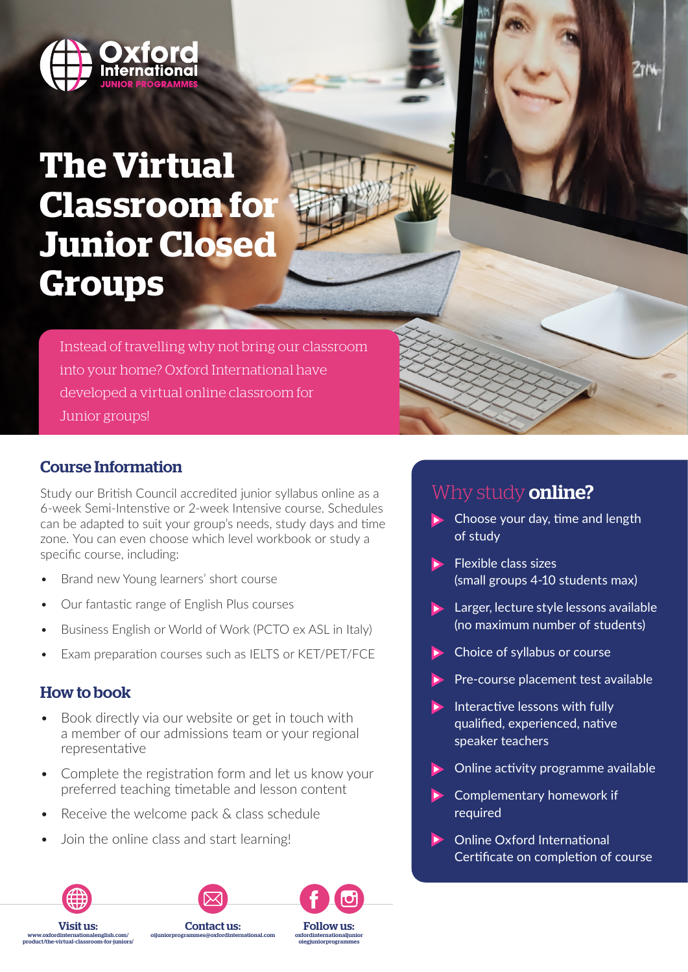

# **The Virtual Classroom for Junior Closed Groups**

Instead of travelling why not bring our classroom into your home? Oxford International have developed a virtual online classroom for Junior groups!

### Course Information

Study our British Council accredited junior syllabus online as a 6-week Semi-Intenstive or 2-week Intensive course. Schedules can be adapted to suit your group's needs, study days and time zone. You can even choose which level workbook or study a specific course, including:

- Brand new Young learners' short course
- Our fantastic range of English Plus courses
- Business English or World of Work (PCTO ex ASL in Italy)
- Exam preparation courses such as IELTS or KET/PET/FCE

### How to book

Visit us: www.oxfordinternationalenglish.com/ product/the-virtual-classroom-for-juniors/

- Book directly via our website or get in touch with a member of our admissions team or your regional representative
- Complete the registration form and let us know your preferred teaching timetable and lesson content

Contact us: oijuniorprogrammes@oxfordinternational.com

Follow us: oxfordinternationaljunior oiegjuniorprogrammes

- Receive the welcome pack & class schedule
- Join the online class and start learning!

# Why study **online?**

 $\blacktriangleright$  Choose your day, time and length of study

**2TM** 

- $\blacktriangleright$  Flexible class sizes (small groups 4-10 students max)
- **Larger, lecture style lessons available** (no maximum number of students)
- $\blacktriangleright$  Choice of syllabus or course
- Pre-course placement test available
- Interactive lessons with fully qualified, experienced, native speaker teachers
- Online activity programme available
- Complementary homework if required
- Online Oxford International Certificate on completion of course